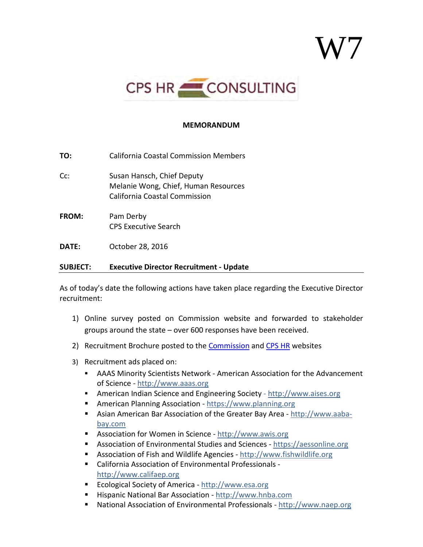## W7



## **MEMORANDUM**

**TO:** California Coastal Commission Members

- Cc: Susan Hansch, Chief Deputy Melanie Wong, Chief, Human Resources California Coastal Commission
- **FROM:** Pam Derby CPS Executive Search

**DATE:** October 28, 2016

## **SUBJECT: Executive Director Recruitment - Update**

As of today's date the following actions have taken place regarding the Executive Director recruitment:

- 1) Online survey posted on Commission website and forwarded to stakeholder groups around the state – over 600 responses have been received.
- 2) Recruitment Brochure posted to the [Commission](https://www.coastal.ca.gov/events/ed-search/) and [CPS HR](http://www.cpshr.us/documents/ExecSearch/ED_CCC.pdf) websites
- 3) Recruitment ads placed on:
	- AAAS Minority Scientists Network American Association for the Advancement of Science - [http://www.aaas.org](http://www.aaas.org/)
	- **American Indian Science and Engineering Society - [http://www.aises.org](http://www.aises.org/)**
	- American Planning Association - [https://www.planning.org](https://www.planning.org/)
	- Asian American Bar Association of the Greater Bay Area - [http://www.aaba](http://www.aaba-bay.com/)[bay.com](http://www.aaba-bay.com/)
	- Association for Women in Science - [http://www.awis.org](http://www.awis.org/)
	- Association of Environmental Studies and Sciences - [https://aessonline.org](https://aessonline.org/)
	- Association of Fish and Wildlife Agencies - [http://www.fishwildlife.org](http://www.fishwildlife.org/)
	- California Association of Environmental Professionals [http://www.califaep.org](http://www.califaep.org/)
	- Ecological Society of America - [http://www.esa.org](http://www.esa.org/)
	- Hispanic National Bar Association - [http://www.hnba.com](http://www.hnba.com/)
	- National Association of Environmental Professionals - [http://www.naep.org](http://www.naep.org/)